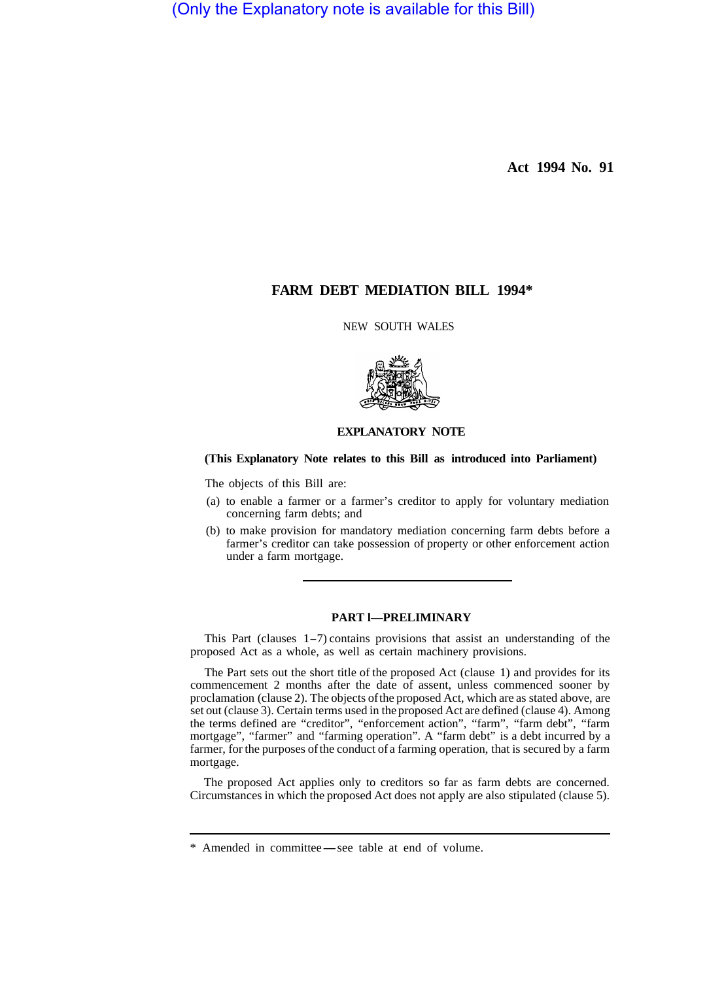(Only the Explanatory note is available for this Bill)

**Act 1994 No. 91** 

# **FARM DEBT MEDIATION BILL 1994\***

NEW SOUTH WALES



## **EXPLANATORY NOTE**

## **(This Explanatory Note relates to this Bill as introduced into Parliament)**

The objects of this Bill are:

- (a) to enable a farmer or a farmer's creditor to apply for voluntary mediation concerning farm debts; and
- (b) to make provision for mandatory mediation concerning farm debts before a farmer's creditor can take possession of property or other enforcement action under a farm mortgage.

## **PART l—PRELIMINARY**

This Part (clauses 1-7) contains provisions that assist an understanding of the proposed Act as a whole, as well as certain machinery provisions.

The Part sets out the short title of the proposed Act (clause 1) and provides for its commencement 2 months after the date of assent, unless commenced sooner by proclamation (clause 2). The objects of the proposed Act, which are as stated above, are set out (clause 3). Certain terms used in the proposed Act are defined (clause 4). Among the terms defined are "creditor", "enforcement action", "farm", "farm debt", "farm mortgage", "farmer" and "farming operation". A "farm debt" is a debt incurred by a farmer, for the purposes of the conduct of a farming operation, that is secured by a farm mortgage.

The proposed Act applies only to creditors so far as farm debts are concerned. Circumstances in which the proposed Act does not apply are also stipulated (clause 5).

<sup>\*</sup> Amended in committee-see table at end of volume.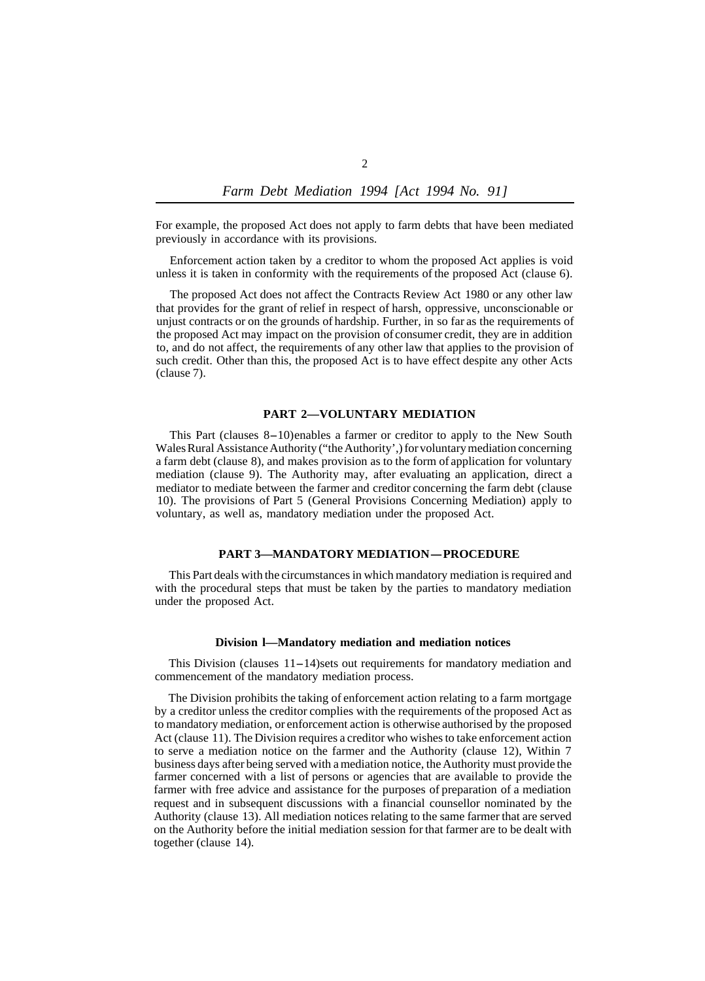For example, the proposed Act does not apply to farm debts that have been mediated previously in accordance with its provisions.

Enforcement action taken by a creditor to whom the proposed Act applies is void unless it is taken in conformity with the requirements of the proposed Act (clause 6).

The proposed Act does not affect the Contracts Review Act 1980 or any other law that provides for the grant of relief in respect of harsh, oppressive, unconscionable or unjust contracts or on the grounds of hardship. Further, in so far as the requirements of the proposed Act may impact on the provision of consumer credit, they are in addition to, and do not affect, the requirements of any other law that applies to the provision of such credit. Other than this, the proposed Act is to have effect despite any other Acts (clause 7).

## **PART 2—VOLUNTARY MEDIATION**

This Part (clauses 8-10) enables a farmer or creditor to apply to the New South Wales Rural Assistance Authority ("the Authority',) for voluntary mediation concerning a farm debt (clause 8), and makes provision as to the form of application for voluntary mediation (clause 9). The Authority may, after evaluating an application, direct a mediator to mediate between the farmer and creditor concerning the farm debt (clause 10). The provisions of Part 5 (General Provisions Concerning Mediation) apply to voluntary, as well as, mandatory mediation under the proposed Act.

## **PART 3–MANDATORY MEDIATION-PROCEDURE**

This Part deals with the circumstances in which mandatory mediation is required and with the procedural steps that must be taken by the parties to mandatory mediation under the proposed Act.

#### **Division l—Mandatory mediation and mediation notices**

This Division (clauses  $11-14$ ) sets out requirements for mandatory mediation and commencement of the mandatory mediation process.

The Division prohibits the taking of enforcement action relating to a farm mortgage by a creditor unless the creditor complies with the requirements of the proposed Act as to mandatory mediation, or enforcement action is otherwise authorised by the proposed Act (clause 11). The Division requires a creditor who wishes to take enforcement action to serve a mediation notice on the farmer and the Authority (clause 12), Within 7 business days after being served with a mediation notice, the Authority must provide the farmer concerned with a list of persons or agencies that are available to provide the farmer with free advice and assistance for the purposes of preparation of a mediation request and in subsequent discussions with a financial counsellor nominated by the Authority (clause 13). All mediation notices relating to the same farmer that are served on the Authority before the initial mediation session for that farmer are to be dealt with together (clause 14).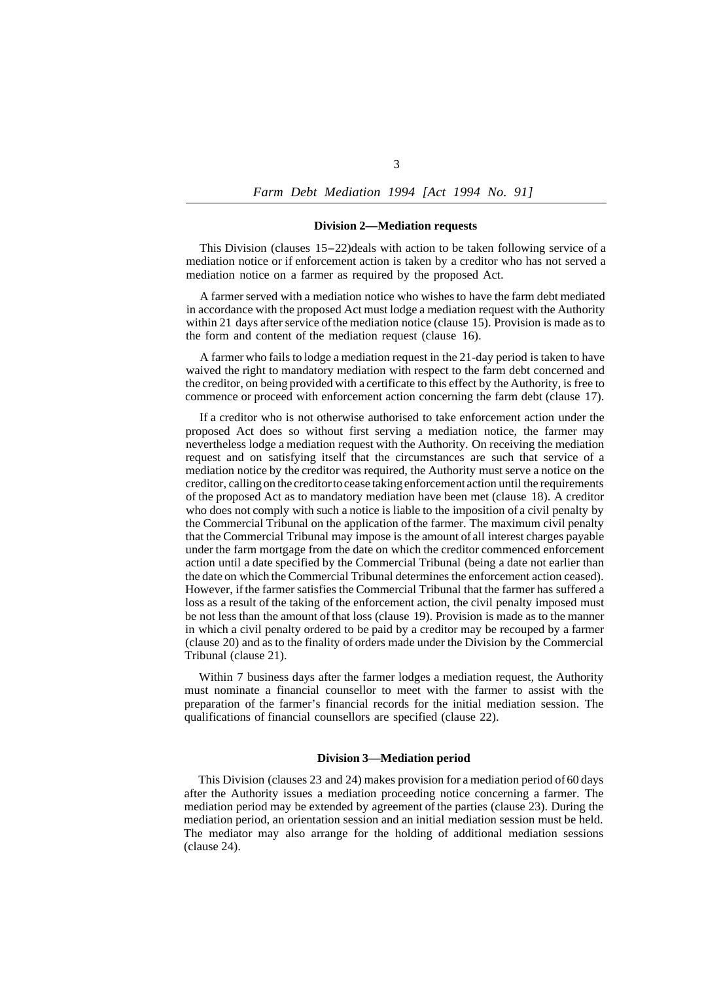## **Division 2—Mediation requests**

This Division (clauses 15-22) deals with action to be taken following service of a mediation notice or if enforcement action is taken by a creditor who has not served a mediation notice on a farmer as required by the proposed Act.

A farmer served with a mediation notice who wishes to have the farm debt mediated in accordance with the proposed Act must lodge a mediation request with the Authority within 21 days after service of the mediation notice (clause 15). Provision is made as to the form and content of the mediation request (clause 16).

A farmer who fails to lodge a mediation request in the 21-day period is taken to have waived the right to mandatory mediation with respect to the farm debt concerned and the creditor, on being provided with a certificate to this effect by the Authority, is free to commence or proceed with enforcement action concerning the farm debt (clause 17).

If a creditor who is not otherwise authorised to take enforcement action under the proposed Act does so without first serving a mediation notice, the farmer may nevertheless lodge a mediation request with the Authority. On receiving the mediation request and on satisfying itself that the circumstances are such that service of a mediation notice by the creditor was required, the Authority must serve a notice on the creditor, calling on the creditor to cease taking enforcement action until the requirements of the proposed Act as to mandatory mediation have been met (clause 18). A creditor who does not comply with such a notice is liable to the imposition of a civil penalty by the Commercial Tribunal on the application of the farmer. The maximum civil penalty that the Commercial Tribunal may impose is the amount of all interest charges payable under the farm mortgage from the date on which the creditor commenced enforcement action until a date specified by the Commercial Tribunal (being a date not earlier than the date on which the Commercial Tribunal determines the enforcement action ceased). However, if the farmer satisfies the Commercial Tribunal that the farmer has suffered a loss as a result of the taking of the enforcement action, the civil penalty imposed must be not less than the amount of that loss (clause 19). Provision is made as to the manner in which a civil penalty ordered to be paid by a creditor may be recouped by a farmer (clause 20) and as to the finality of orders made under the Division by the Commercial Tribunal (clause 21).

Within 7 business days after the farmer lodges a mediation request, the Authority must nominate a financial counsellor to meet with the farmer to assist with the preparation of the farmer's financial records for the initial mediation session. The qualifications of financial counsellors are specified (clause 22).

#### **Division 3—Mediation period**

This Division (clauses 23 and 24) makes provision for a mediation period of 60 days after the Authority issues a mediation proceeding notice concerning a farmer. The mediation period may be extended by agreement of the parties (clause 23). During the mediation period, an orientation session and an initial mediation session must be held. The mediator may also arrange for the holding of additional mediation sessions (clause 24).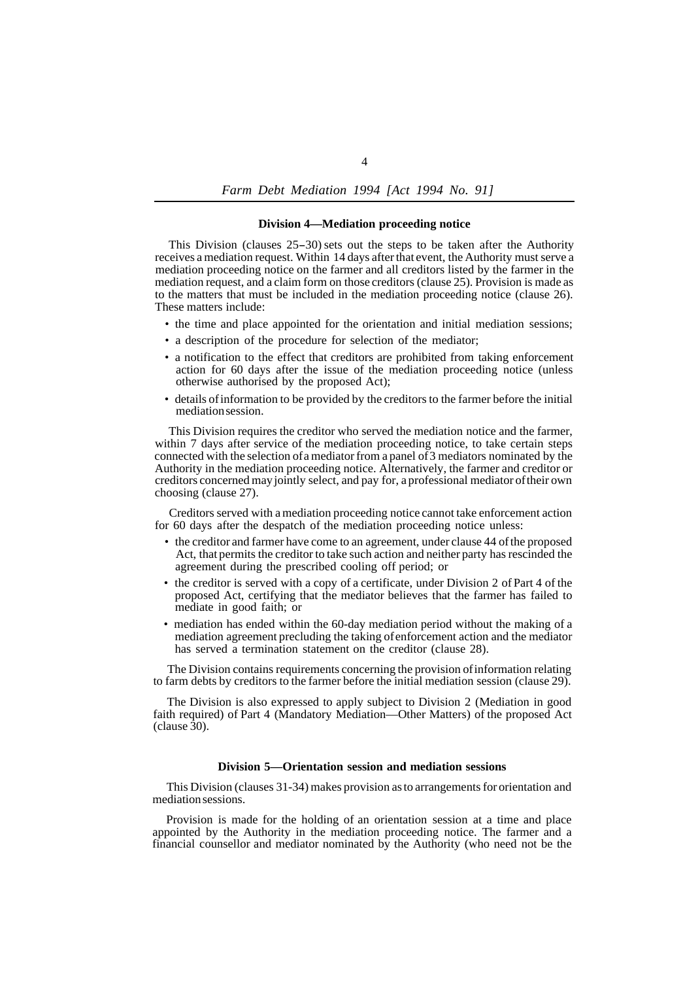*Farm Debt Mediation 1994 [Act 1994 No. 91]*

## **Division 4—Mediation proceeding notice**

This Division (clauses 25-30) sets out the steps to be taken after the Authority receives a mediation request. Within 14 days after that event, the Authority must serve a mediation proceeding notice on the farmer and all creditors listed by the farmer in the mediation request, and a claim form on those creditors (clause 25). Provision is made as to the matters that must be included in the mediation proceeding notice (clause 26). These matters include:

- the time and place appointed for the orientation and initial mediation sessions;
- a description of the procedure for selection of the mediator;
- a notification to the effect that creditors are prohibited from taking enforcement action for 60 days after the issue of the mediation proceeding notice (unless otherwise authorised by the proposed Act);
- details of information to be provided by the creditors to the farmer before the initial mediation session.

This Division requires the creditor who served the mediation notice and the farmer, within 7 days after service of the mediation proceeding notice, to take certain steps connected with the selection of a mediator from a panel of 3 mediators nominated by the Authority in the mediation proceeding notice. Alternatively, the farmer and creditor or creditors concerned may jointly select, and pay for, a professional mediator of their own choosing (clause 27).

Creditors served with a mediation proceeding notice cannot take enforcement action for 60 days after the despatch of the mediation proceeding notice unless:

- the creditor and farmer have come to an agreement, under clause 44 of the proposed Act, that permits the creditor to take such action and neither party has rescinded the agreement during the prescribed cooling off period; or
- the creditor is served with a copy of a certificate, under Division 2 of Part 4 of the proposed Act, certifying that the mediator believes that the farmer has failed to mediate in good faith; or
- mediation has ended within the 60-day mediation period without the making of a mediation agreement precluding the taking of enforcement action and the mediator has served a termination statement on the creditor (clause 28).

The Division contains requirements concerning the provision of information relating to farm debts by creditors to the farmer before the initial mediation session (clause 29).

The Division is also expressed to apply subject to Division 2 (Mediation in good faith required) of Part 4 (Mandatory Mediation—Other Matters) of the proposed Act (clause 30).

#### **Division 5—Orientation session and mediation sessions**

This Division (clauses 31-34) makes provision as to arrangements for orientation and mediation sessions.

Provision is made for the holding of an orientation session at a time and place appointed by the Authority in the mediation proceeding notice. The farmer and a financial counsellor and mediator nominated by the Authority (who need not be the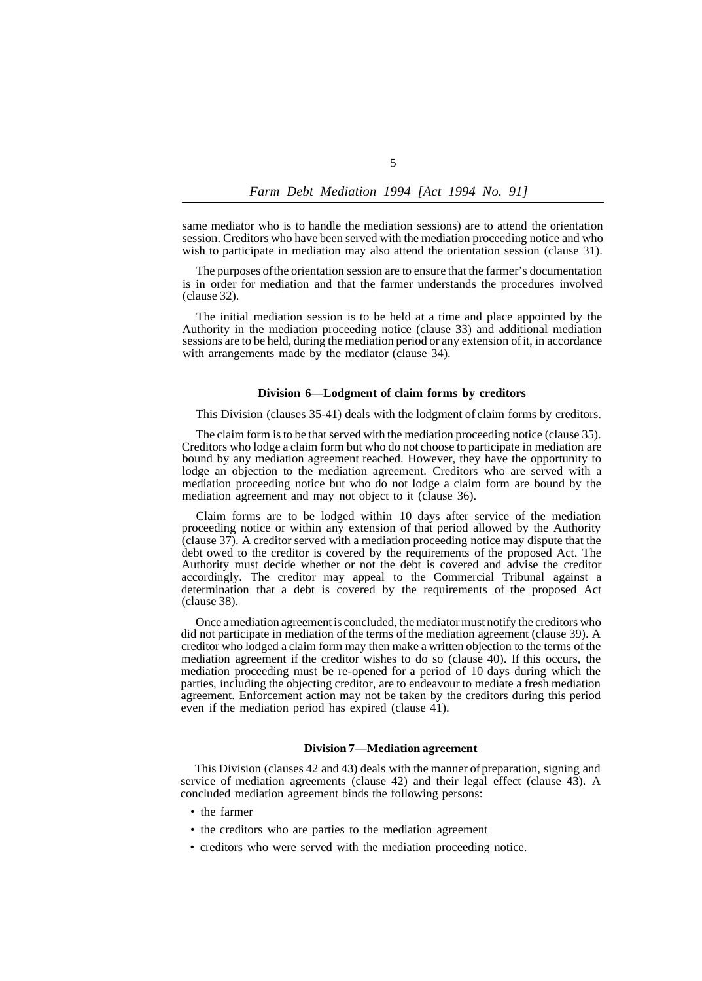same mediator who is to handle the mediation sessions) are to attend the orientation session. Creditors who have been served with the mediation proceeding notice and who wish to participate in mediation may also attend the orientation session (clause 31).

The purposes of the orientation session are to ensure that the farmer's documentation is in order for mediation and that the farmer understands the procedures involved (clause 32).

The initial mediation session is to be held at a time and place appointed by the Authority in the mediation proceeding notice (clause 33) and additional mediation sessions are to be held, during the mediation period or any extension of it, in accordance with arrangements made by the mediator (clause 34).

#### **Division 6—Lodgment of claim forms by creditors**

This Division (clauses 35-41) deals with the lodgment of claim forms by creditors.

The claim form is to be that served with the mediation proceeding notice (clause 35). Creditors who lodge a claim form but who do not choose to participate in mediation are bound by any mediation agreement reached. However, they have the opportunity to lodge an objection to the mediation agreement. Creditors who are served with a mediation proceeding notice but who do not lodge a claim form are bound by the mediation agreement and may not object to it (clause 36).

Claim forms are to be lodged within 10 days after service of the mediation proceeding notice or within any extension of that period allowed by the Authority (clause 37). A creditor served with a mediation proceeding notice may dispute that the debt owed to the creditor is covered by the requirements of the proposed Act. The Authority must decide whether or not the debt is covered and advise the creditor accordingly. The creditor may appeal to the Commercial Tribunal against a determination that a debt is covered by the requirements of the proposed Act (clause 38).

Once a mediation agreement is concluded, the mediator must notify the creditors who did not participate in mediation of the terms of the mediation agreement (clause 39). A creditor who lodged a claim form may then make a written objection to the terms of the mediation agreement if the creditor wishes to do so (clause 40). If this occurs, the mediation proceeding must be re-opened for a period of 10 days during which the parties, including the objecting creditor, are to endeavour to mediate a fresh mediation agreement. Enforcement action may not be taken by the creditors during this period even if the mediation period has expired (clause 41).

### **Division 7—Mediation agreement**

This Division (clauses 42 and 43) deals with the manner of preparation, signing and service of mediation agreements (clause 42) and their legal effect (clause 43). A concluded mediation agreement binds the following persons:

- the farmer
- the creditors who are parties to the mediation agreement
- creditors who were served with the mediation proceeding notice.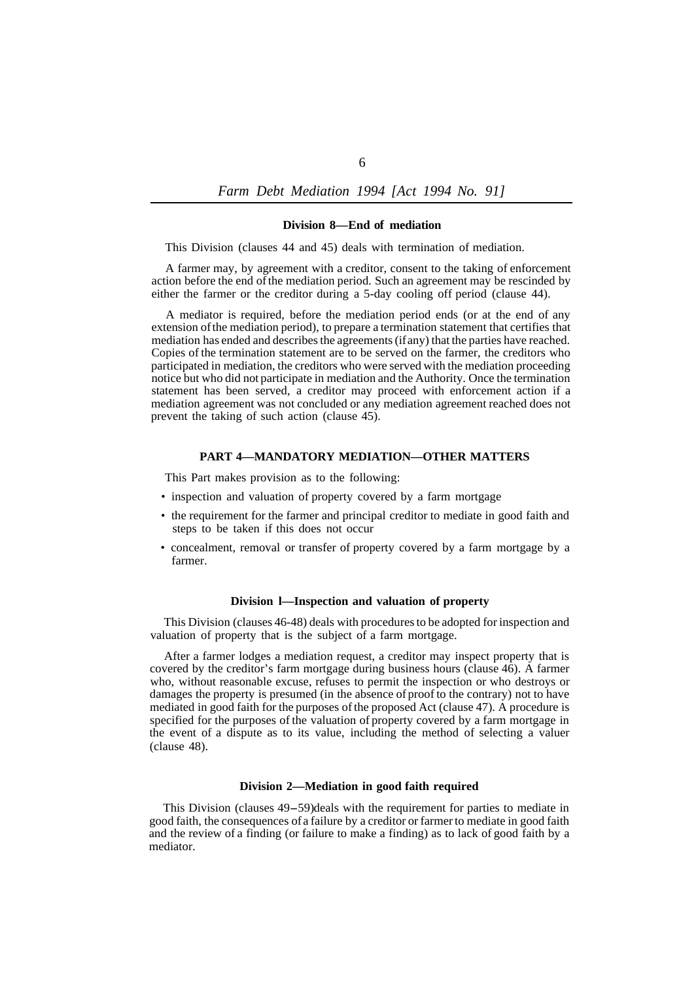*Farm Debt Mediation 1994 [Act 1994 No. 91]* 

#### **Division 8—End of mediation**

This Division (clauses 44 and 45) deals with termination of mediation.

A farmer may, by agreement with a creditor, consent to the taking of enforcement action before the end of the mediation period. Such an agreement may be rescinded by either the farmer or the creditor during a 5-day cooling off period (clause 44).

A mediator is required, before the mediation period ends (or at the end of any extension of the mediation period), to prepare a termination statement that certifies that mediation has ended and describes the agreements (if any) that the parties have reached. Copies of the termination statement are to be served on the farmer, the creditors who participated in mediation, the creditors who were served with the mediation proceeding notice but who did not participate in mediation and the Authority. Once the termination statement has been served, a creditor may proceed with enforcement action if a mediation agreement was not concluded or any mediation agreement reached does not prevent the taking of such action (clause 45).

## **PART 4—MANDATORY MEDIATION—OTHER MATTERS**

This Part makes provision as to the following:

- inspection and valuation of property covered by a farm mortgage
- the requirement for the farmer and principal creditor to mediate in good faith and steps to be taken if this does not occur
- farmer. • concealment, removal or transfer of property covered by a farm mortgage by a

## **Division l—Inspection and valuation of property**

This Division (clauses 46-48) deals with procedures to be adopted for inspection and valuation of property that is the subject of a farm mortgage.

After a farmer lodges a mediation request, a creditor may inspect property that is covered by the creditor's farm mortgage during business hours (clause 46). A farmer who, without reasonable excuse, refuses to permit the inspection or who destroys or damages the property is presumed (in the absence of proof to the contrary) not to have mediated in good faith for the purposes of the proposed Act (clause 47). A procedure is specified for the purposes of the valuation of property covered by a farm mortgage in the event of a dispute as to its value, including the method of selecting a valuer (clause 48).

### **Division 2—Mediation in good faith required**

This Division (clauses 49-59) deals with the requirement for parties to mediate in good faith, the consequences of a failure by a creditor or farmer to mediate in good faith and the review of a finding (or failure to make a finding) as to lack of good faith by a mediator.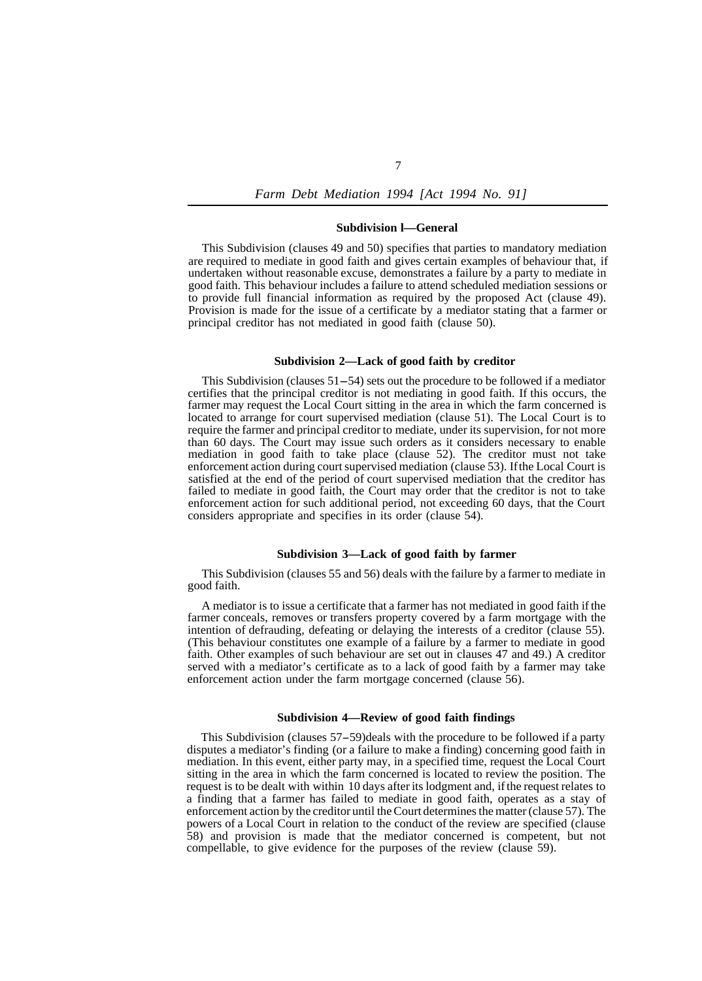#### **Subdivision l—General**

This Subdivision (clauses 49 and 50) specifies that parties to mandatory mediation are required to mediate in good faith and gives certain examples of behaviour that, if undertaken without reasonable excuse, demonstrates a failure by a party to mediate in good faith. This behaviour includes a failure to attend scheduled mediation sessions or to provide full financial information as required by the proposed Act (clause 49). Provision is made for the issue of a certificate by a mediator stating that a farmer or principal creditor has not mediated in good faith (clause 50).

## **Subdivision 2—Lack of good faith by creditor**

This Subdivision (clauses 51-54) sets out the procedure to be followed if a mediator certifies that the principal creditor is not mediating in good faith. If this occurs, the farmer may request the Local Court sitting in the area in which the farm concerned is located to arrange for court supervised mediation (clause 51). The Local Court is to require the farmer and principal creditor to mediate, under its supervision, for not more than 60 days. The Court may issue such orders as it considers necessary to enable mediation in good faith to take place (clause 52). The creditor must not take enforcement action during court supervised mediation (clause 53). If the Local Court is satisfied at the end of the period of court supervised mediation that the creditor has failed to mediate in good faith, the Court may order that the creditor is not to take enforcement action for such additional period, not exceeding 60 days, that the Court considers appropriate and specifies in its order (clause 54).

#### **Subdivision 3—Lack of good faith by farmer**

This Subdivision (clauses 55 and 56) deals with the failure by a farmer to mediate in good faith.

A mediator is to issue a certificate that a farmer has not mediated in good faith if the farmer conceals, removes or transfers property covered by a farm mortgage with the intention of defrauding, defeating or delaying the interests of a creditor (clause 55). (This behaviour constitutes one example of a failure by a farmer to mediate in good faith. Other examples of such behaviour are set out in clauses 47 and 49.) A creditor served with a mediator's certificate as to a lack of good faith by a farmer may take enforcement action under the farm mortgage concerned (clause 56).

## **Subdivision 4—Review of good faith findings**

This Subdivision (clauses 57-59) deals with the procedure to be followed if a party disputes a mediator's finding (or a failure to make a finding) concerning good faith in mediation. In this event, either party may, in a specified time, request the Local Court sitting in the area in which the farm concerned is located to review the position. The request is to be dealt with within 10 days after its lodgment and, if the request relates to a finding that a farmer has failed to mediate in good faith, operates as a stay of enforcement action by the creditor until the Court determines the matter (clause 57). The powers of a Local Court in relation to the conduct of the review are specified (clause 58) and provision is made that the mediator concerned is competent, but not compellable, to give evidence for the purposes of the review (clause 59).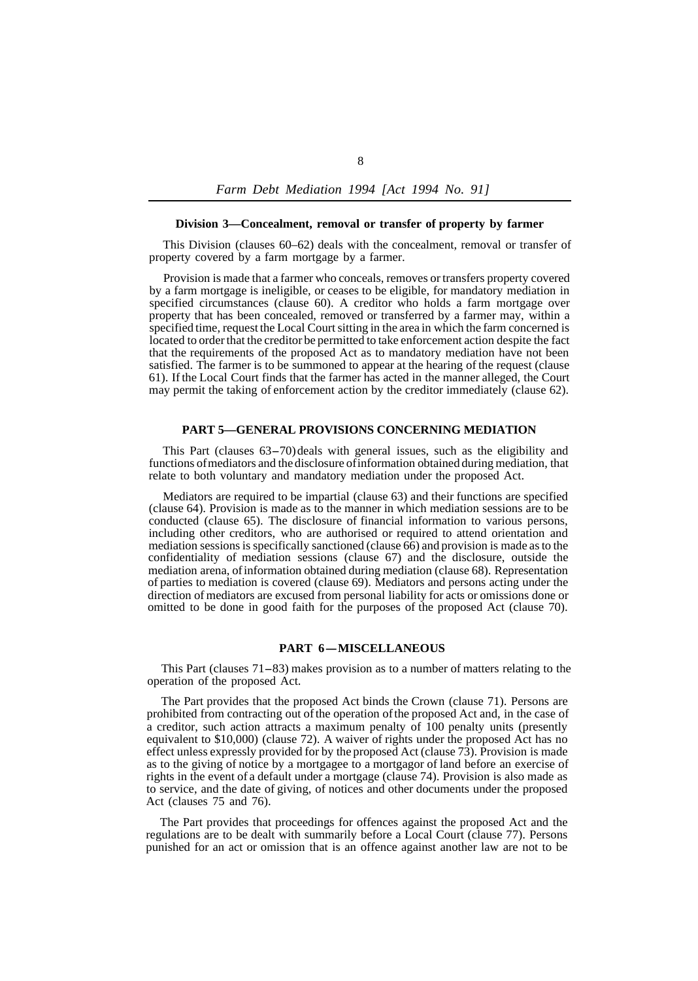#### **Division 3—Concealment, removal or transfer of property by farmer**

This Division (clauses 60–62) deals with the concealment, removal or transfer of property covered by a farm mortgage by a farmer.

Provision is made that a farmer who conceals, removes or transfers property covered by a farm mortgage is ineligible, or ceases to be eligible, for mandatory mediation in specified circumstances (clause 60). A creditor who holds a farm mortgage over property that has been concealed, removed or transferred by a farmer may, within a specified time, request the Local Court sitting in the area in which the farm concerned is located to order that the creditor be permitted to take enforcement action despite the fact that the requirements of the proposed Act as to mandatory mediation have not been satisfied. The farmer is to be summoned to appear at the hearing of the request (clause 61). If the Local Court finds that the farmer has acted in the manner alleged, the Court may permit the taking of enforcement action by the creditor immediately (clause 62).

#### **PART 5—GENERAL PROVISIONS CONCERNING MEDIATION**

This Part (clauses 63-70) deals with general issues, such as the eligibility and functions of mediators and the disclosure of information obtained during mediation, that relate to both voluntary and mandatory mediation under the proposed Act.

Mediators are required to be impartial (clause 63) and their functions are specified (clause 64). Provision is made as to the manner in which mediation sessions are to be conducted (clause 65). The disclosure of financial information to various persons, including other creditors, who are authorised or required to attend orientation and mediation sessions is specifically sanctioned (clause 66) and provision is made as to the confidentiality of mediation sessions (clause 67) and the disclosure, outside the mediation arena, of information obtained during mediation (clause 68). Representation of parties to mediation is covered (clause 69). Mediators and persons acting under the direction of mediators are excused from personal liability for acts or omissions done or omitted to be done in good faith for the purposes of the proposed Act (clause 70).

## **PART 6-MISCELLANEOUS**

This Part (clauses  $71-83$ ) makes provision as to a number of matters relating to the operation of the proposed Act.

The Part provides that the proposed Act binds the Crown (clause 71). Persons are prohibited from contracting out of the operation of the proposed Act and, in the case of a creditor, such action attracts a maximum penalty of 100 penalty units (presently equivalent to \$10,000) (clause 72). A waiver of rights under the proposed Act has no effect unless expressly provided for by the proposed Act (clause 73). Provision is made as to the giving of notice by a mortgagee to a mortgagor of land before an exercise of rights in the event of a default under a mortgage (clause 74). Provision is also made as to service, and the date of giving, of notices and other documents under the proposed Act (clauses 75 and 76).

The Part provides that proceedings for offences against the proposed Act and the regulations are to be dealt with summarily before a Local Court (clause 77). Persons punished for an act or omission that is an offence against another law are not to be